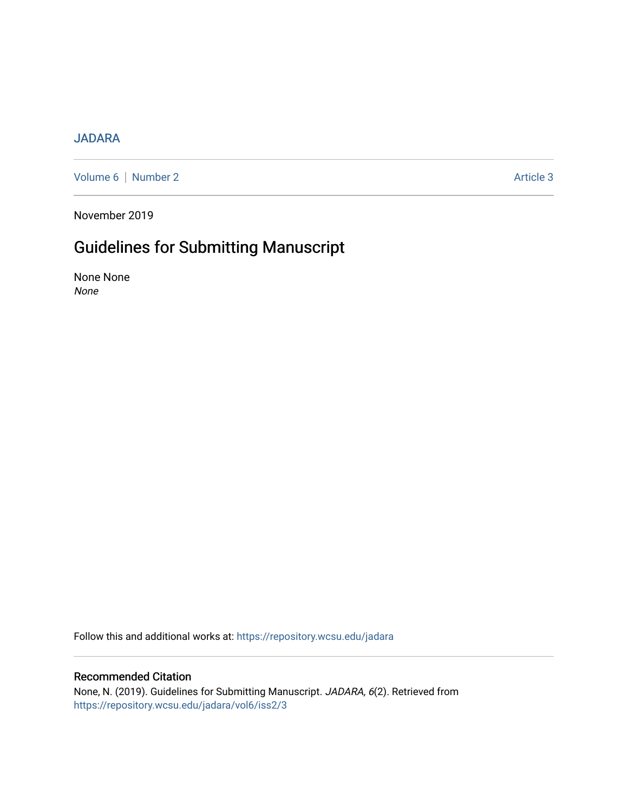## [JADARA](https://repository.wcsu.edu/jadara)

[Volume 6](https://repository.wcsu.edu/jadara/vol6) | [Number 2](https://repository.wcsu.edu/jadara/vol6/iss2) Article 3

November 2019

## Guidelines for Submitting Manuscript

None None None

Follow this and additional works at: [https://repository.wcsu.edu/jadara](https://repository.wcsu.edu/jadara?utm_source=repository.wcsu.edu%2Fjadara%2Fvol6%2Fiss2%2F3&utm_medium=PDF&utm_campaign=PDFCoverPages)

## Recommended Citation

None, N. (2019). Guidelines for Submitting Manuscript. JADARA, 6(2). Retrieved from [https://repository.wcsu.edu/jadara/vol6/iss2/3](https://repository.wcsu.edu/jadara/vol6/iss2/3?utm_source=repository.wcsu.edu%2Fjadara%2Fvol6%2Fiss2%2F3&utm_medium=PDF&utm_campaign=PDFCoverPages)